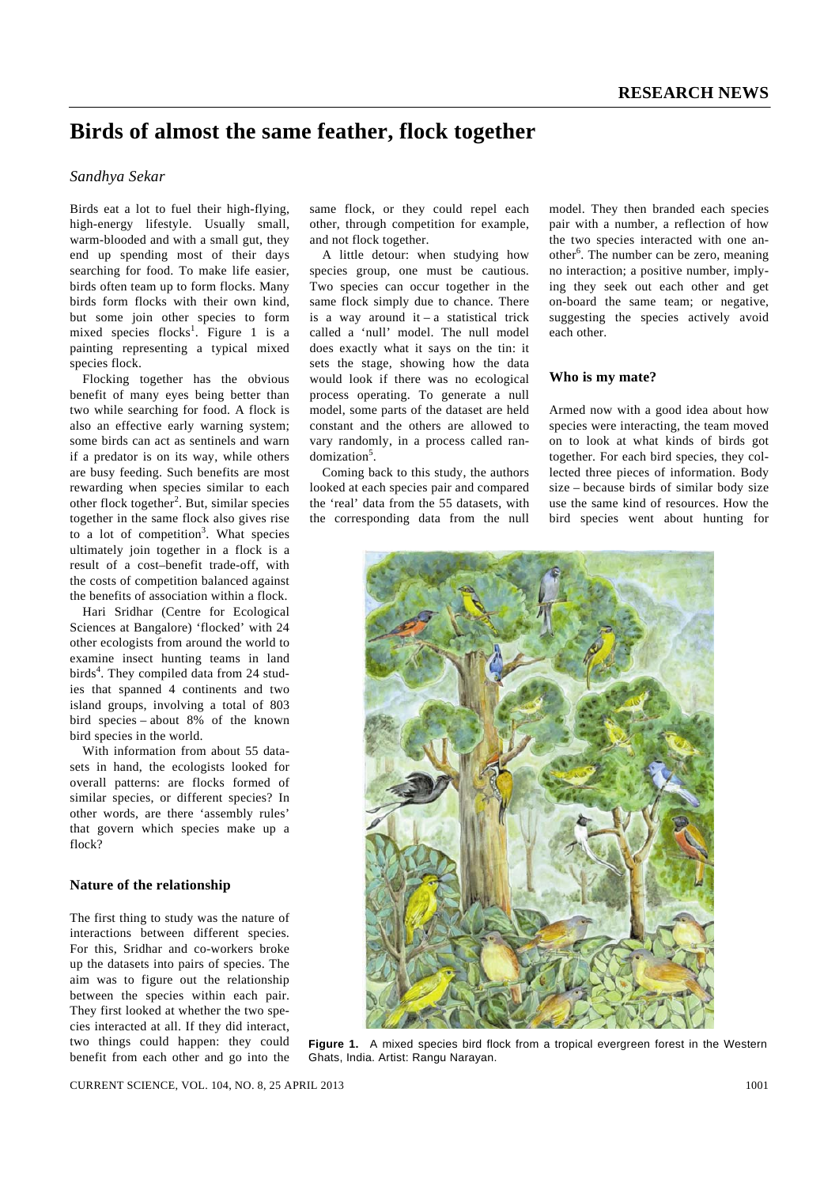# **Birds of almost the same feather, flock together**

# *Sandhya Sekar*

Birds eat a lot to fuel their high-flying, high-energy lifestyle. Usually small, warm-blooded and with a small gut, they end up spending most of their days searching for food. To make life easier, birds often team up to form flocks. Many birds form flocks with their own kind, but some join other species to form mixed species flocks<sup>1</sup>. Figure 1 is a painting representing a typical mixed species flock.

 Flocking together has the obvious benefit of many eyes being better than two while searching for food. A flock is also an effective early warning system; some birds can act as sentinels and warn if a predator is on its way, while others are busy feeding. Such benefits are most rewarding when species similar to each other flock together<sup>2</sup>. But, similar species together in the same flock also gives rise to a lot of competition<sup>3</sup>. What species ultimately join together in a flock is a result of a cost–benefit trade-off, with the costs of competition balanced against the benefits of association within a flock.

 Hari Sridhar (Centre for Ecological Sciences at Bangalore) 'flocked' with 24 other ecologists from around the world to examine insect hunting teams in land birds<sup>4</sup>. They compiled data from 24 studies that spanned 4 continents and two island groups, involving a total of 803 bird species – about 8% of the known bird species in the world.

 With information from about 55 datasets in hand, the ecologists looked for overall patterns: are flocks formed of similar species, or different species? In other words, are there 'assembly rules' that govern which species make up a flock?

### **Nature of the relationship**

The first thing to study was the nature of interactions between different species. For this, Sridhar and co-workers broke up the datasets into pairs of species. The aim was to figure out the relationship between the species within each pair. They first looked at whether the two species interacted at all. If they did interact, two things could happen: they could benefit from each other and go into the

same flock, or they could repel each other, through competition for example, and not flock together.

 A little detour: when studying how species group, one must be cautious. Two species can occur together in the same flock simply due to chance. There is a way around it – a statistical trick called a 'null' model. The null model does exactly what it says on the tin: it sets the stage, showing how the data would look if there was no ecological process operating. To generate a null model, some parts of the dataset are held constant and the others are allowed to vary randomly, in a process called randomization<sup>5</sup>.

 Coming back to this study, the authors looked at each species pair and compared the 'real' data from the 55 datasets, with the corresponding data from the null model. They then branded each species pair with a number, a reflection of how the two species interacted with one another<sup>6</sup>. The number can be zero, meaning no interaction; a positive number, implying they seek out each other and get on-board the same team; or negative, suggesting the species actively avoid each other.

## **Who is my mate?**

Armed now with a good idea about how species were interacting, the team moved on to look at what kinds of birds got together. For each bird species, they collected three pieces of information. Body size – because birds of similar body size use the same kind of resources. How the bird species went about hunting for



**Figure 1.** A mixed species bird flock from a tropical evergreen forest in the Western Ghats, India. Artist: Rangu Narayan.